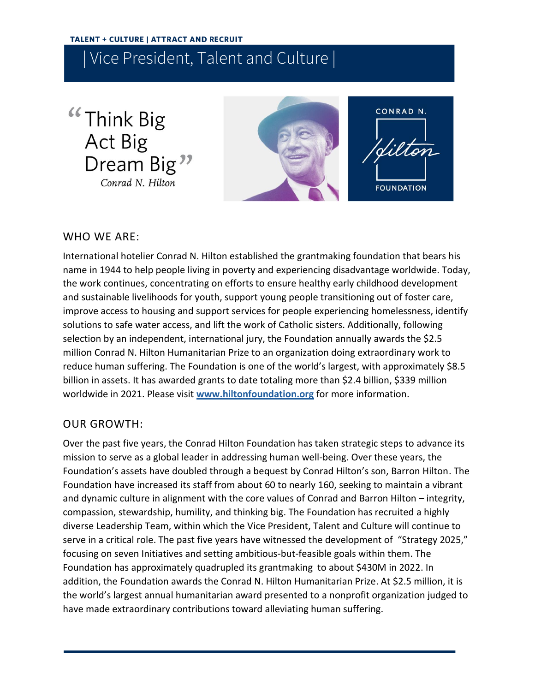"Think Big Act Big Dream Big<sup>"</sup> Conrad N. Hilton



CONRAD N. dilton **FOUNDATION** 

## WHO WE ARE:

International hotelier Conrad N. Hilton established the grantmaking foundation that bears his name in 1944 to help people living in poverty and experiencing disadvantage worldwide. Today, the work continues, concentrating on efforts to ensure healthy early childhood development and sustainable livelihoods for youth, support young people transitioning out of foster care, improve access to housing and support services for people experiencing homelessness, identify solutions to safe water access, and lift the work of Catholic sisters. Additionally, following selection by an independent, international jury, the Foundation annually awards the \$2.5 million Conrad N. Hilton Humanitarian Prize to an organization doing extraordinary work to reduce human suffering. The Foundation is one of the world's largest, with approximately \$8.5 billion in assets. It has awarded grants to date totaling more than \$2.4 billion, \$339 million worldwide in 2021. Please visit **[www.hiltonfoundation.org](http://www.hiltonfoundation.org/)** for more information.

# OUR GROWTH:

Over the past five years, the Conrad Hilton Foundation has taken strategic steps to advance its mission to serve as a global leader in addressing human well-being. Over these years, the Foundation's assets have doubled through a bequest by Conrad Hilton's son, Barron Hilton. The Foundation have increased its staff from about 60 to nearly 160, seeking to maintain a vibrant and dynamic culture in alignment with the core values of Conrad and Barron Hilton – integrity, compassion, stewardship, humility, and thinking big. The Foundation has recruited a highly diverse Leadership Team, within which the Vice President, Talent and Culture will continue to serve in a critical role. The past five years have witnessed the development of "Strategy 2025," focusing on seven Initiatives and setting ambitious-but-feasible goals within them. The Foundation has approximately quadrupled its grantmaking to about \$430M in 2022. In addition, the Foundation awards the Conrad N. Hilton Humanitarian Prize. At \$2.5 million, it is the world's largest annual humanitarian award presented to a nonprofit organization judged to have made extraordinary contributions toward alleviating human suffering.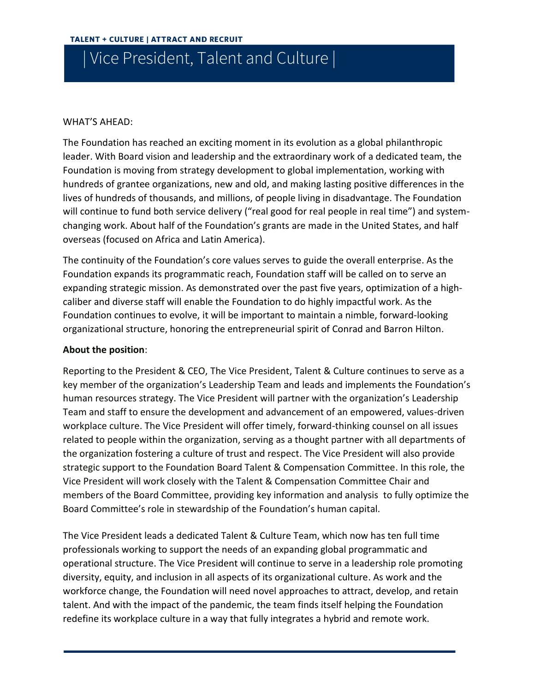### WHAT'S AHEAD:

The Foundation has reached an exciting moment in its evolution as a global philanthropic leader. With Board vision and leadership and the extraordinary work of a dedicated team, the Foundation is moving from strategy development to global implementation, working with hundreds of grantee organizations, new and old, and making lasting positive differences in the lives of hundreds of thousands, and millions, of people living in disadvantage. The Foundation will continue to fund both service delivery ("real good for real people in real time") and systemchanging work. About half of the Foundation's grants are made in the United States, and half overseas (focused on Africa and Latin America).

The continuity of the Foundation's core values serves to guide the overall enterprise. As the Foundation expands its programmatic reach, Foundation staff will be called on to serve an expanding strategic mission. As demonstrated over the past five years, optimization of a highcaliber and diverse staff will enable the Foundation to do highly impactful work. As the Foundation continues to evolve, it will be important to maintain a nimble, forward-looking organizational structure, honoring the entrepreneurial spirit of Conrad and Barron Hilton.

### **About the position**:

Reporting to the President & CEO, The Vice President, Talent & Culture continues to serve as a key member of the organization's Leadership Team and leads and implements the Foundation's human resources strategy. The Vice President will partner with the organization's Leadership Team and staff to ensure the development and advancement of an empowered, values-driven workplace culture. The Vice President will offer timely, forward-thinking counsel on all issues related to people within the organization, serving as a thought partner with all departments of the organization fostering a culture of trust and respect. The Vice President will also provide strategic support to the Foundation Board Talent & Compensation Committee. In this role, the Vice President will work closely with the Talent & Compensation Committee Chair and members of the Board Committee, providing key information and analysis to fully optimize the Board Committee's role in stewardship of the Foundation's human capital.

The Vice President leads a dedicated Talent & Culture Team, which now has ten full time professionals working to support the needs of an expanding global programmatic and operational structure. The Vice President will continue to serve in a leadership role promoting diversity, equity, and inclusion in all aspects of its organizational culture. As work and the workforce change, the Foundation will need novel approaches to attract, develop, and retain talent. And with the impact of the pandemic, the team finds itself helping the Foundation redefine its workplace culture in a way that fully integrates a hybrid and remote work.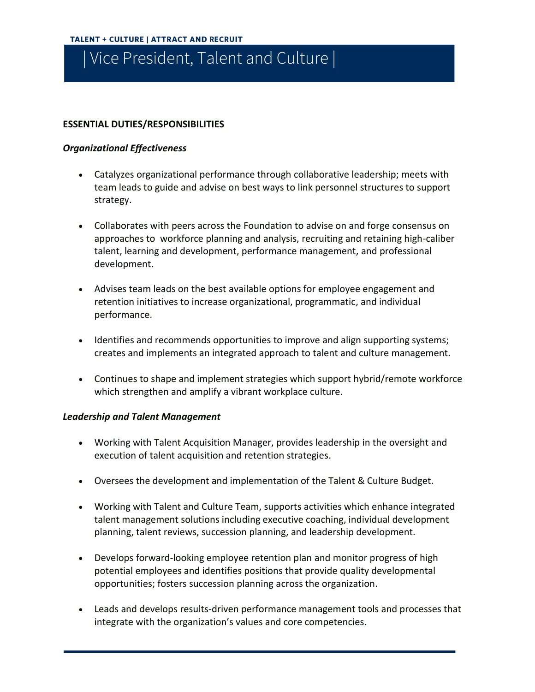### **ESSENTIAL DUTIES/RESPONSIBILITIES**

#### *Organizational Effectiveness*

- Catalyzes organizational performance through collaborative leadership; meets with team leads to guide and advise on best ways to link personnel structures to support strategy.
- Collaborates with peers across the Foundation to advise on and forge consensus on approaches to workforce planning and analysis, recruiting and retaining high-caliber talent, learning and development, performance management, and professional development.
- Advises team leads on the best available options for employee engagement and retention initiatives to increase organizational, programmatic, and individual performance.
- Identifies and recommends opportunities to improve and align supporting systems; creates and implements an integrated approach to talent and culture management.
- Continues to shape and implement strategies which support hybrid/remote workforce which strengthen and amplify a vibrant workplace culture.

#### *Leadership and Talent Management*

- Working with Talent Acquisition Manager, provides leadership in the oversight and execution of talent acquisition and retention strategies.
- Oversees the development and implementation of the Talent & Culture Budget.
- Working with Talent and Culture Team, supports activities which enhance integrated talent management solutions including executive coaching, individual development planning, talent reviews, succession planning, and leadership development.
- Develops forward-looking employee retention plan and monitor progress of high potential employees and identifies positions that provide quality developmental opportunities; fosters succession planning across the organization.
- Leads and develops results-driven performance management tools and processes that integrate with the organization's values and core competencies.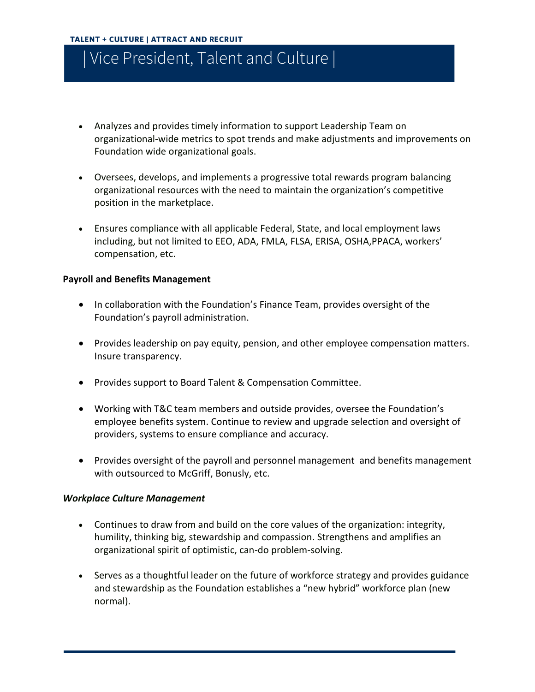- Analyzes and provides timely information to support Leadership Team on organizational-wide metrics to spot trends and make adjustments and improvements on Foundation wide organizational goals.
- Oversees, develops, and implements a progressive total rewards program balancing organizational resources with the need to maintain the organization's competitive position in the marketplace.
- Ensures compliance with all applicable Federal, State, and local employment laws including, but not limited to EEO, ADA, FMLA, FLSA, ERISA, OSHA,PPACA, workers' compensation, etc.

#### **Payroll and Benefits Management**

- In collaboration with the Foundation's Finance Team, provides oversight of the Foundation's payroll administration.
- Provides leadership on pay equity, pension, and other employee compensation matters. Insure transparency.
- Provides support to Board Talent & Compensation Committee.
- Working with T&C team members and outside provides, oversee the Foundation's employee benefits system. Continue to review and upgrade selection and oversight of providers, systems to ensure compliance and accuracy.
- Provides oversight of the payroll and personnel management and benefits management with outsourced to McGriff, Bonusly, etc.

#### *Workplace Culture Management*

- Continues to draw from and build on the core values of the organization: integrity, humility, thinking big, stewardship and compassion. Strengthens and amplifies an organizational spirit of optimistic, can-do problem-solving.
- Serves as a thoughtful leader on the future of workforce strategy and provides guidance and stewardship as the Foundation establishes a "new hybrid" workforce plan (new normal).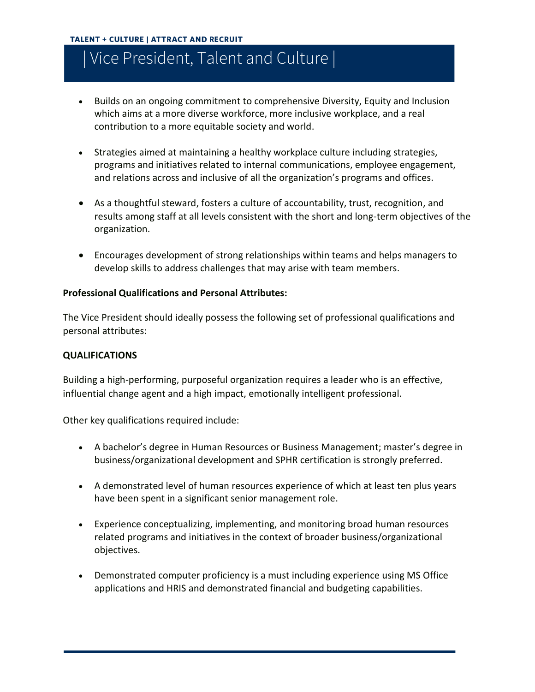- Builds on an ongoing commitment to comprehensive Diversity, Equity and Inclusion which aims at a more diverse workforce, more inclusive workplace, and a real contribution to a more equitable society and world.
- Strategies aimed at maintaining a healthy workplace culture including strategies, programs and initiatives related to internal communications, employee engagement, and relations across and inclusive of all the organization's programs and offices.
- As a thoughtful steward, fosters a culture of accountability, trust, recognition, and results among staff at all levels consistent with the short and long-term objectives of the organization.
- Encourages development of strong relationships within teams and helps managers to develop skills to address challenges that may arise with team members.

### **Professional Qualifications and Personal Attributes:**

The Vice President should ideally possess the following set of professional qualifications and personal attributes:

### **QUALIFICATIONS**

Building a high-performing, purposeful organization requires a leader who is an effective, influential change agent and a high impact, emotionally intelligent professional.

Other key qualifications required include:

- A bachelor's degree in Human Resources or Business Management; master's degree in business/organizational development and SPHR certification is strongly preferred.
- A demonstrated level of human resources experience of which at least ten plus years have been spent in a significant senior management role.
- Experience conceptualizing, implementing, and monitoring broad human resources related programs and initiatives in the context of broader business/organizational objectives.
- Demonstrated computer proficiency is a must including experience using MS Office applications and HRIS and demonstrated financial and budgeting capabilities.